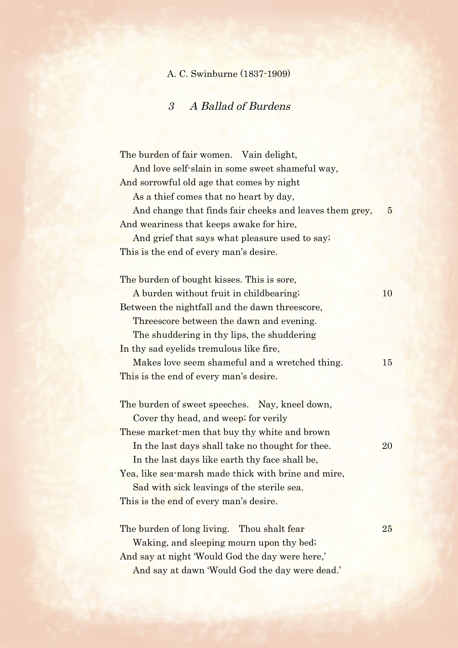## A. C. Swinburne (1837-1909)

## 3 A Ballad of Burdens

The burden of fair women. Vain delight, And love self-slain in some sweet shameful way, And sorrowful old age that comes by night As a thief comes that no heart by day, And change that finds fair cheeks and leaves them grey, 5 And weariness that keeps awake for hire, And grief that says what pleasure used to say; This is the end of every man's desire. The burden of bought kisses. This is sore, A burden without fruit in childbearing; 10 Between the nightfall and the dawn threescore, Threescore between the dawn and evening. The shuddering in thy lips, the shuddering In thy sad eyelids tremulous like fire, Makes love seem shameful and a wretched thing. 15 This is the end of every man's desire. The burden of sweet speeches. Nay, kneel down, Cover thy head, and weep; for verily These market-men that buy thy white and brown In the last days shall take no thought for thee. 20 In the last days like earth thy face shall be, Yea, like sea-marsh made thick with brine and mire, Sad with sick leavings of the sterile sea. This is the end of every man's desire. The burden of long living. Thou shalt fear 25 Waking, and sleeping mourn upon thy bed; And say at night 'Would God the day were here,' And say at dawn 'Would God the day were dead.'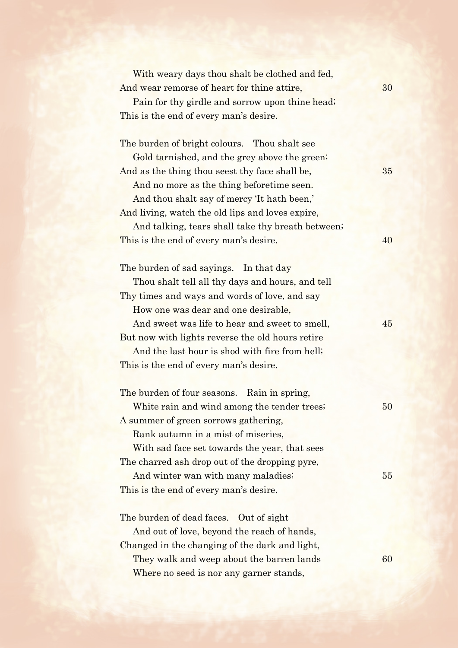| With weary days thou shalt be clothed and fed,<br>And wear remorse of heart for thine attire, | 30     |
|-----------------------------------------------------------------------------------------------|--------|
| Pain for thy girdle and sorrow upon thine head;                                               |        |
| This is the end of every man's desire.                                                        |        |
|                                                                                               |        |
| The burden of bright colours. Thou shalt see                                                  |        |
| Gold tarnished, and the grey above the green;                                                 |        |
| And as the thing thou seest thy face shall be,                                                | 35     |
| And no more as the thing beforetime seen.                                                     |        |
| And thou shalt say of mercy 'It hath been,'                                                   |        |
| And living, watch the old lips and loves expire,                                              |        |
| And talking, tears shall take thy breath between;                                             |        |
| This is the end of every man's desire.                                                        | 40     |
|                                                                                               |        |
| The burden of sad sayings. In that day                                                        |        |
| Thou shalt tell all thy days and hours, and tell                                              |        |
| Thy times and ways and words of love, and say                                                 |        |
| How one was dear and one desirable,                                                           |        |
| And sweet was life to hear and sweet to smell,                                                | 45     |
| But now with lights reverse the old hours retire                                              |        |
| And the last hour is shod with fire from hell;                                                |        |
| This is the end of every man's desire.                                                        |        |
|                                                                                               |        |
| The burden of four seasons. Rain in spring,                                                   |        |
| White rain and wind among the tender trees;                                                   | $50\,$ |
| A summer of green sorrows gathering,                                                          |        |
| Rank autumn in a mist of miseries,                                                            |        |
| With sad face set towards the year, that sees                                                 |        |
| The charred ash drop out of the dropping pyre,                                                |        |
| And winter wan with many maladies;                                                            | 55     |
| This is the end of every man's desire.                                                        |        |
|                                                                                               |        |
| The burden of dead faces.<br>Out of sight                                                     |        |
| And out of love, beyond the reach of hands,                                                   |        |
| Changed in the changing of the dark and light,                                                |        |
| They walk and weep about the barren lands                                                     | 60     |
| Where no seed is nor any garner stands,                                                       |        |
|                                                                                               |        |